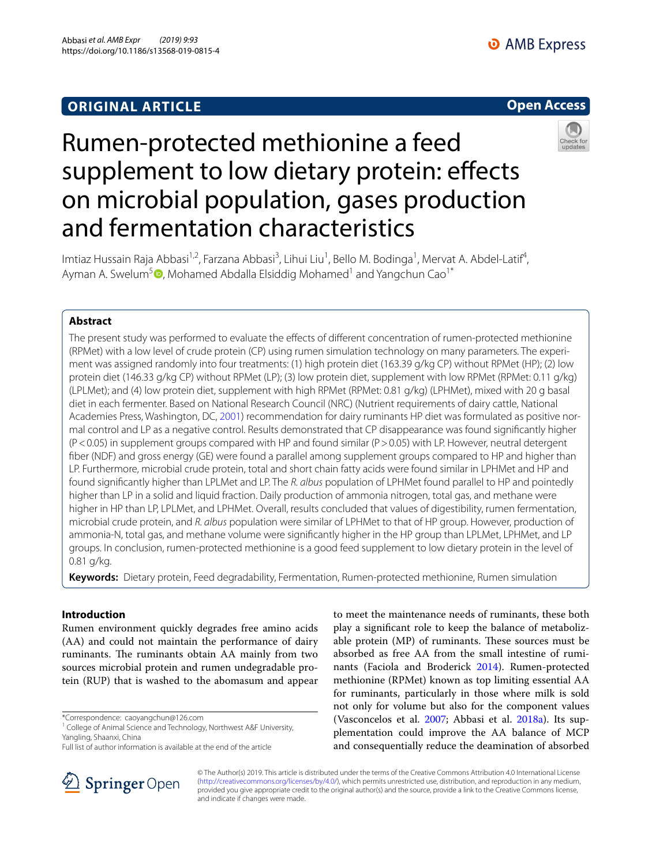# **ORIGINAL ARTICLE**



# Rumen-protected methionine a feed supplement to low dietary protein: effects on microbial population, gases production and fermentation characteristics



Imtiaz Hussain Raja Abbasi<sup>1,2</sup>, Farzana Abbasi<sup>3</sup>, Lihui Liu<sup>1</sup>, Bello M. Bodinga<sup>1</sup>, Mervat A. Abdel-Latif<sup>4</sup>, Ayman A. Swelum<sup>5</sup><sup>®</sup>[,](http://orcid.org/0000-0003-3247-5898) Mohamed Abdalla Elsiddig Mohamed<sup>1</sup> and Yangchun Cao<sup>1\*</sup>

# **Abstract**

The present study was performed to evaluate the efects of diferent concentration of rumen-protected methionine (RPMet) with a low level of crude protein (CP) using rumen simulation technology on many parameters. The experi‑ ment was assigned randomly into four treatments: (1) high protein diet (163.39 g/kg CP) without RPMet (HP); (2) low protein diet (146.33 g/kg CP) without RPMet (LP); (3) low protein diet, supplement with low RPMet (RPMet: 0.11 g/kg) (LPLMet); and (4) low protein diet, supplement with high RPMet (RPMet: 0.81 g/kg) (LPHMet), mixed with 20 g basal diet in each fermenter. Based on National Research Council (NRC) (Nutrient requirements of dairy cattle, National Academies Press, Washington, DC, [2001](#page-8-0)) recommendation for dairy ruminants HP diet was formulated as positive normal control and LP as a negative control. Results demonstrated that CP disappearance was found signifcantly higher (P<0.05) in supplement groups compared with HP and found similar (P>0.05) with LP. However, neutral detergent fber (NDF) and gross energy (GE) were found a parallel among supplement groups compared to HP and higher than LP. Furthermore, microbial crude protein, total and short chain fatty acids were found similar in LPHMet and HP and found signifcantly higher than LPLMet and LP. The *R. albus* population of LPHMet found parallel to HP and pointedly higher than LP in a solid and liquid fraction. Daily production of ammonia nitrogen, total gas, and methane were higher in HP than LP, LPLMet, and LPHMet. Overall, results concluded that values of digestibility, rumen fermentation, microbial crude protein, and *R. albus* population were similar of LPHMet to that of HP group. However, production of ammonia-N, total gas, and methane volume were signifcantly higher in the HP group than LPLMet, LPHMet, and LP groups. In conclusion, rumen-protected methionine is a good feed supplement to low dietary protein in the level of 0.81 g/kg.

**Keywords:** Dietary protein, Feed degradability, Fermentation, Rumen-protected methionine, Rumen simulation

# **Introduction**

Rumen environment quickly degrades free amino acids (AA) and could not maintain the performance of dairy ruminants. The ruminants obtain AA mainly from two sources microbial protein and rumen undegradable protein (RUP) that is washed to the abomasum and appear

\*Correspondence: caoyangchun@126.com





© The Author(s) 2019. This article is distributed under the terms of the Creative Commons Attribution 4.0 International License [\(http://creativecommons.org/licenses/by/4.0/\)](http://creativecommons.org/licenses/by/4.0/), which permits unrestricted use, distribution, and reproduction in any medium, provided you give appropriate credit to the original author(s) and the source, provide a link to the Creative Commons license, and indicate if changes were made.

<sup>&</sup>lt;sup>1</sup> College of Animal Science and Technology, Northwest A&F University, Yangling, Shaanxi, China

Full list of author information is available at the end of the article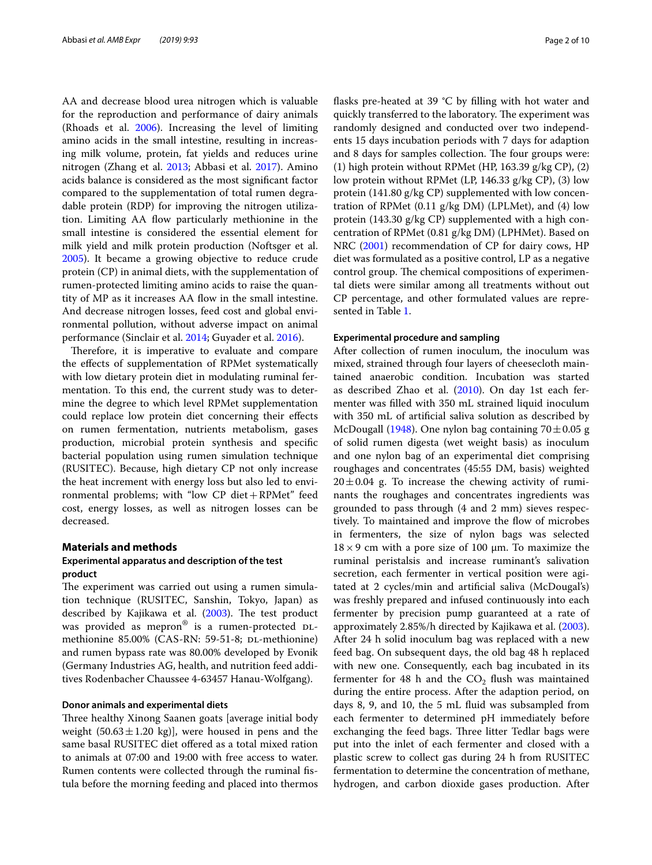AA and decrease blood urea nitrogen which is valuable for the reproduction and performance of dairy animals (Rhoads et al. [2006](#page-8-3)). Increasing the level of limiting amino acids in the small intestine, resulting in increasing milk volume, protein, fat yields and reduces urine nitrogen (Zhang et al. [2013;](#page-9-1) Abbasi et al. [2017](#page-8-4)). Amino acids balance is considered as the most signifcant factor compared to the supplementation of total rumen degradable protein (RDP) for improving the nitrogen utilization. Limiting AA fow particularly methionine in the small intestine is considered the essential element for milk yield and milk protein production (Noftsger et al. [2005](#page-8-5)). It became a growing objective to reduce crude protein (CP) in animal diets, with the supplementation of rumen-protected limiting amino acids to raise the quantity of MP as it increases AA fow in the small intestine. And decrease nitrogen losses, feed cost and global environmental pollution, without adverse impact on animal performance (Sinclair et al. [2014](#page-9-2); Guyader et al. [2016](#page-8-6)).

Therefore, it is imperative to evaluate and compare the efects of supplementation of RPMet systematically with low dietary protein diet in modulating ruminal fermentation. To this end, the current study was to determine the degree to which level RPMet supplementation could replace low protein diet concerning their efects on rumen fermentation, nutrients metabolism, gases production, microbial protein synthesis and specifc bacterial population using rumen simulation technique (RUSITEC). Because, high dietary CP not only increase the heat increment with energy loss but also led to environmental problems; with "low CP diet+RPMet" feed cost, energy losses, as well as nitrogen losses can be decreased.

### **Materials and methods**

# **Experimental apparatus and description of the test product**

The experiment was carried out using a rumen simulation technique (RUSITEC, Sanshin, Tokyo, Japan) as described by Kajikawa et al.  $(2003)$  $(2003)$ . The test product was provided as mepron® is a rumen-protected DLmethionine 85.00% (CAS-RN: 59-51-8; DL-methionine) and rumen bypass rate was 80.00% developed by Evonik (Germany Industries AG, health, and nutrition feed additives Rodenbacher Chaussee 4-63457 Hanau-Wolfgang).

## **Donor animals and experimental diets**

Three healthy Xinong Saanen goats [average initial body weight  $(50.63 \pm 1.20 \text{ kg})$ , were housed in pens and the same basal RUSITEC diet ofered as a total mixed ration to animals at 07:00 and 19:00 with free access to water. Rumen contents were collected through the ruminal fstula before the morning feeding and placed into thermos flasks pre-heated at 39 °C by filling with hot water and quickly transferred to the laboratory. The experiment was randomly designed and conducted over two independents 15 days incubation periods with 7 days for adaption and 8 days for samples collection. The four groups were: (1) high protein without RPMet (HP, 163.39 g/kg CP), (2) low protein without RPMet (LP, 146.33 g/kg CP), (3) low protein (141.80 g/kg CP) supplemented with low concentration of RPMet (0.11 g/kg DM) (LPLMet), and (4) low protein (143.30 g/kg CP) supplemented with a high concentration of RPMet (0.81 g/kg DM) (LPHMet). Based on NRC ([2001](#page-8-0)) recommendation of CP for dairy cows, HP diet was formulated as a positive control, LP as a negative control group. The chemical compositions of experimental diets were similar among all treatments without out CP percentage, and other formulated values are represented in Table [1.](#page-2-0)

### **Experimental procedure and sampling**

After collection of rumen inoculum, the inoculum was mixed, strained through four layers of cheesecloth maintained anaerobic condition. Incubation was started as described Zhao et al. ([2010](#page-9-3)). On day 1st each fermenter was flled with 350 mL strained liquid inoculum with 350 mL of artifcial saliva solution as described by McDougall [\(1948](#page-8-8)). One nylon bag containing  $70 \pm 0.05$  g of solid rumen digesta (wet weight basis) as inoculum and one nylon bag of an experimental diet comprising roughages and concentrates (45:55 DM, basis) weighted  $20 \pm 0.04$  g. To increase the chewing activity of ruminants the roughages and concentrates ingredients was grounded to pass through (4 and 2 mm) sieves respectively. To maintained and improve the flow of microbes in fermenters, the size of nylon bags was selected  $18 \times 9$  cm with a pore size of 100  $\mu$ m. To maximize the ruminal peristalsis and increase ruminant's salivation secretion, each fermenter in vertical position were agitated at 2 cycles/min and artifcial saliva (McDougal's) was freshly prepared and infused continuously into each fermenter by precision pump guaranteed at a rate of approximately 2.85%/h directed by Kajikawa et al. [\(2003](#page-8-7)). After 24 h solid inoculum bag was replaced with a new feed bag. On subsequent days, the old bag 48 h replaced with new one. Consequently, each bag incubated in its fermenter for 48 h and the  $CO<sub>2</sub>$  flush was maintained during the entire process. After the adaption period, on days 8, 9, and 10, the 5 mL fuid was subsampled from each fermenter to determined pH immediately before exchanging the feed bags. Three litter Tedlar bags were put into the inlet of each fermenter and closed with a plastic screw to collect gas during 24 h from RUSITEC fermentation to determine the concentration of methane, hydrogen, and carbon dioxide gases production. After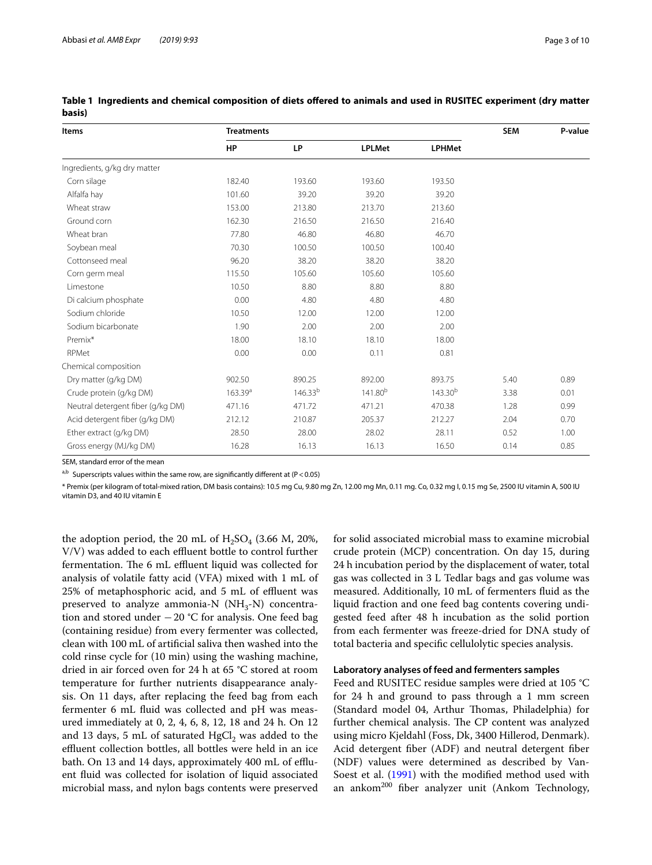| <b>Items</b>                      | <b>Treatments</b>   | <b>SEM</b>   | P-value             |               |      |      |
|-----------------------------------|---------------------|--------------|---------------------|---------------|------|------|
|                                   | <b>HP</b>           | <b>LP</b>    | <b>LPLMet</b>       | <b>LPHMet</b> |      |      |
| Ingredients, g/kg dry matter      |                     |              |                     |               |      |      |
| Corn silage                       | 182.40              | 193.60       | 193.60              | 193.50        |      |      |
| Alfalfa hay                       | 101.60              | 39.20        | 39.20               | 39.20         |      |      |
| Wheat straw                       | 153.00              | 213.80       | 213.70              | 213.60        |      |      |
| Ground corn                       | 162.30              | 216.50       | 216.50              | 216.40        |      |      |
| Wheat bran                        | 77.80               | 46.80        | 46.80               | 46.70         |      |      |
| Soybean meal                      | 70.30               | 100.50       | 100.50              | 100.40        |      |      |
| Cottonseed meal                   | 96.20               | 38.20        | 38.20               | 38.20         |      |      |
| Corn germ meal                    | 115.50              | 105.60       | 105.60              | 105.60        |      |      |
| Limestone                         | 10.50               | 8.80         | 8.80                | 8.80          |      |      |
| Di calcium phosphate              | 0.00                | 4.80         | 4.80                | 4.80          |      |      |
| Sodium chloride                   | 10.50               | 12.00        | 12.00               | 12.00         |      |      |
| Sodium bicarbonate                | 1.90                | 2.00         | 2.00                | 2.00          |      |      |
| Premix*                           | 18.00               | 18.10        | 18.10               | 18.00         |      |      |
| RPMet                             | 0.00                | 0.00         | 0.11                | 0.81          |      |      |
| Chemical composition              |                     |              |                     |               |      |      |
| Dry matter (g/kg DM)              | 902.50              | 890.25       | 892.00              | 893.75        | 5.40 | 0.89 |
| Crude protein (g/kg DM)           | 163.39 <sup>a</sup> | $146.33^{b}$ | 141.80 <sup>b</sup> | $143.30^{b}$  | 3.38 | 0.01 |
| Neutral detergent fiber (g/kg DM) | 471.16              | 471.72       | 471.21              | 470.38        | 1.28 | 0.99 |
| Acid detergent fiber (g/kg DM)    | 212.12              | 210.87       | 205.37              | 212.27        | 2.04 | 0.70 |
| Ether extract (g/kg DM)           | 28.50               | 28.00        | 28.02               | 28.11         | 0.52 | 1.00 |
| Gross energy (MJ/kg DM)           | 16.28               | 16.13        | 16.13               | 16.50         | 0.14 | 0.85 |

<span id="page-2-0"></span>**Table 1 Ingredients and chemical composition of diets ofered to animals and used in RUSITEC experiment (dry matter basis)**

SEM, standard error of the mean

 $a,b$  Superscripts values within the same row, are significantly different at (P < 0.05)

\* Premix (per kilogram of total-mixed ration, DM basis contains): 10.5 mg Cu, 9.80 mg Zn, 12.00 mg Mn, 0.11 mg. Co, 0.32 mg I, 0.15 mg Se, 2500 IU vitamin A, 500 IU vitamin D3, and 40 IU vitamin E

the adoption period, the 20 mL of  $H_2SO_4$  (3.66 M, 20%,  $V/V$ ) was added to each effluent bottle to control further fermentation. The 6 mL effluent liquid was collected for analysis of volatile fatty acid (VFA) mixed with 1 mL of 25% of metaphosphoric acid, and 5 mL of effluent was preserved to analyze ammonia-N  $(NH_3-N)$  concentration and stored under −20 °C for analysis. One feed bag (containing residue) from every fermenter was collected, clean with 100 mL of artifcial saliva then washed into the cold rinse cycle for (10 min) using the washing machine, dried in air forced oven for 24 h at 65 °C stored at room temperature for further nutrients disappearance analysis. On 11 days, after replacing the feed bag from each fermenter 6 mL fuid was collected and pH was measured immediately at 0, 2, 4, 6, 8, 12, 18 and 24 h. On 12 and 13 days, 5 mL of saturated  $HgCl<sub>2</sub>$  was added to the effluent collection bottles, all bottles were held in an ice bath. On 13 and 14 days, approximately 400 mL of efuent fuid was collected for isolation of liquid associated microbial mass, and nylon bags contents were preserved for solid associated microbial mass to examine microbial crude protein (MCP) concentration. On day 15, during 24 h incubation period by the displacement of water, total gas was collected in 3 L Tedlar bags and gas volume was measured. Additionally, 10 mL of fermenters fuid as the liquid fraction and one feed bag contents covering undigested feed after 48 h incubation as the solid portion from each fermenter was freeze-dried for DNA study of total bacteria and specifc cellulolytic species analysis.

#### **Laboratory analyses of feed and fermenters samples**

Feed and RUSITEC residue samples were dried at 105 °C for 24 h and ground to pass through a 1 mm screen (Standard model 04, Arthur Thomas, Philadelphia) for further chemical analysis. The CP content was analyzed using micro Kjeldahl (Foss, Dk, 3400 Hillerod, Denmark). Acid detergent fber (ADF) and neutral detergent fber (NDF) values were determined as described by Van-Soest et al. [\(1991](#page-9-4)) with the modified method used with an ankom<sup>200</sup> fiber analyzer unit (Ankom Technology,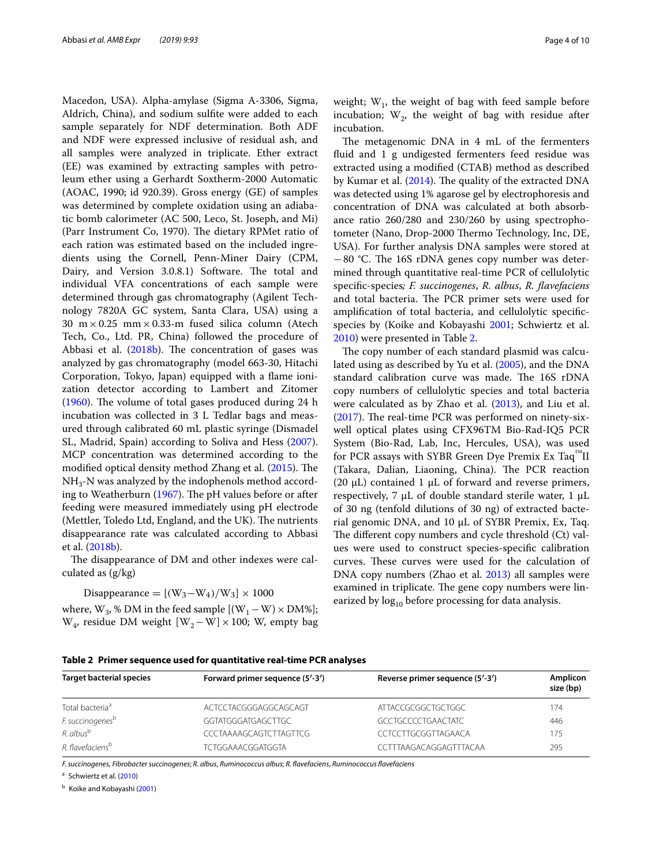Macedon, USA). Alpha-amylase (Sigma A-3306, Sigma, Aldrich, China), and sodium sulfte were added to each sample separately for NDF determination. Both ADF and NDF were expressed inclusive of residual ash, and all samples were analyzed in triplicate. Ether extract (EE) was examined by extracting samples with petroleum ether using a Gerhardt Soxtherm-2000 Automatic (AOAC, 1990; id 920.39). Gross energy (GE) of samples was determined by complete oxidation using an adiabatic bomb calorimeter (AC 500, Leco, St. Joseph, and Mi) (Parr Instrument Co, 1970). The dietary RPMet ratio of each ration was estimated based on the included ingredients using the Cornell, Penn-Miner Dairy (CPM, Dairy, and Version 3.0.8.1) Software. The total and individual VFA concentrations of each sample were determined through gas chromatography (Agilent Technology 7820A GC system, Santa Clara, USA) using a 30  $m \times 0.25$  mm $\times 0.33$ -m fused silica column (Atech Tech, Co., Ltd. PR, China) followed the procedure of Abbasi et al.  $(2018b)$  $(2018b)$ . The concentration of gases was analyzed by gas chromatography (model 663-30, Hitachi Corporation, Tokyo, Japan) equipped with a fame ionization detector according to Lambert and Zitomer  $(1960)$  $(1960)$ . The volume of total gases produced during 24 h incubation was collected in 3 L Tedlar bags and measured through calibrated 60 mL plastic syringe (Dismadel SL, Madrid, Spain) according to Soliva and Hess [\(2007](#page-9-5)). MCP concentration was determined according to the modified optical density method Zhang et al. [\(2015](#page-9-6)). The  $\mathrm{NH}_3$ -N was analyzed by the indophenols method accord-ing to Weatherburn [\(1967\)](#page-9-7). The pH values before or after feeding were measured immediately using pH electrode (Mettler, Toledo Ltd, England, and the UK). The nutrients disappearance rate was calculated according to Abbasi et al. ([2018b](#page-8-9)).

The disappearance of DM and other indexes were calculated as (g/kg)

# Disappearance =  $[(W_3-W_4)/W_3] \times 1000$

where,  $W_3$ , % DM in the feed sample  $[(W_1-W) \times DM\%]$ ; W<sub>4</sub>, residue DM weight [W<sub>2</sub>−W] × 100; W, empty bag

weight;  $W_1$ , the weight of bag with feed sample before incubation;  $W_2$ , the weight of bag with residue after incubation.

The metagenomic DNA in 4 mL of the fermenters fluid and 1 g undigested fermenters feed residue was extracted using a modifed (CTAB) method as described by Kumar et al.  $(2014)$  $(2014)$ . The quality of the extracted DNA was detected using 1% agarose gel by electrophoresis and concentration of DNA was calculated at both absorbance ratio 260/280 and 230/260 by using spectrophotometer (Nano, Drop-2000 Thermo Technology, Inc, DE, USA). For further analysis DNA samples were stored at  $-80$  °C. The 16S rDNA genes copy number was determined through quantitative real-time PCR of cellulolytic specifc-species*; F. succinogenes*, *R. albus*, *R. favefaciens* and total bacteria. The PCR primer sets were used for amplifcation of total bacteria, and cellulolytic specifcspecies by (Koike and Kobayashi [2001](#page-8-12); Schwiertz et al. [2010](#page-9-8)) were presented in Table [2](#page-3-0).

The copy number of each standard plasmid was calculated using as described by Yu et al. ([2005\)](#page-9-9), and the DNA standard calibration curve was made. The 16S rDNA copy numbers of cellulolytic species and total bacteria were calculated as by Zhao et al. [\(2013\)](#page-9-10), and Liu et al.  $(2017)$  $(2017)$ . The real-time PCR was performed on ninety-sixwell optical plates using CFX96TM Bio-Rad-IQ5 PCR System (Bio-Rad, Lab, Inc, Hercules, USA), was used for PCR assays with SYBR Green Dye Premix Ex Taq™II (Takara, Dalian, Liaoning, China). The PCR reaction (20  $\mu$ L) contained 1  $\mu$ L of forward and reverse primers, respectively, 7  $\mu$ L of double standard sterile water, 1  $\mu$ L of 30 ng (tenfold dilutions of 30 ng) of extracted bacterial genomic DNA, and 10 μL of SYBR Premix, Ex, Taq. The different copy numbers and cycle threshold (Ct) values were used to construct species-specifc calibration curves. These curves were used for the calculation of DNA copy numbers (Zhao et al. [2013\)](#page-9-10) all samples were examined in triplicate. The gene copy numbers were linearized by  $log_{10}$  before processing for data analysis.

<span id="page-3-0"></span>**Table 2 Primer sequence used for quantitative real-time PCR analyses**

| <b>Target bacterial species</b> | Forward primer sequence (5'-3') | Reverse primer sequence (5'-3') | Amplicon<br>size (bp) |
|---------------------------------|---------------------------------|---------------------------------|-----------------------|
| Total bacteria <sup>a</sup>     | ACTCCTACGGGAGGCAGCAGT           | <b>ATTACCGCGGCTGCTGGC</b>       | 174                   |
| F. succinogenes <sup>b</sup>    | GGTATGGGATGAGCTTGC              | GCCTGCCCCTGAACTATC              | 446                   |
| R. albus <sup>b</sup>           | CCCTAAAAGCAGTCTTAGTTCG          | CCTCCTTGCGGTTAGAACA             | 175                   |
| R. flavefaciens <sup>b</sup>    | <b>TCTGGAAACGGATGGTA</b>        | CCTTTAAGACAGGAGTTTACAA          | 295                   |

*F. succinogenes*, *Fibrobacter succinogenes*; *R. albus*, *Ruminococcus albus*; *R. favefaciens*, *Ruminococcus favefaciens*

<sup>a</sup> Schwiertz et al. ([2010](#page-9-8))

**b** Koike and Kobayashi ([2001\)](#page-8-12)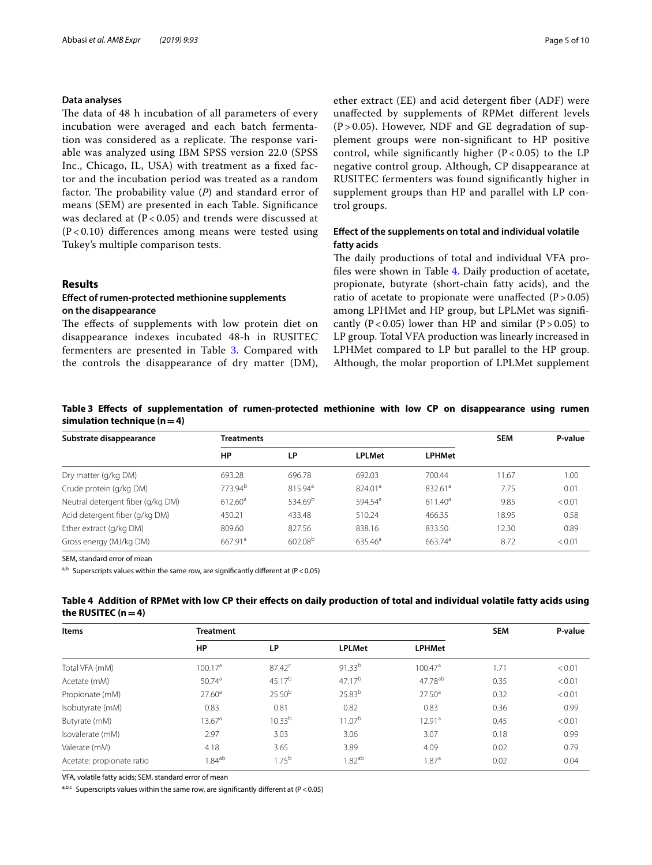#### **Data analyses**

The data of 48 h incubation of all parameters of every incubation were averaged and each batch fermentation was considered as a replicate. The response variable was analyzed using IBM SPSS version 22.0 (SPSS Inc., Chicago, IL, USA) with treatment as a fxed factor and the incubation period was treated as a random factor. The probability value  $(P)$  and standard error of means (SEM) are presented in each Table. Signifcance was declared at  $(P < 0.05)$  and trends were discussed at  $(P<0.10)$  differences among means were tested using Tukey's multiple comparison tests.

## **Results**

# **Efect of rumen-protected methionine supplements on the disappearance**

The effects of supplements with low protein diet on disappearance indexes incubated 48-h in RUSITEC fermenters are presented in Table [3.](#page-4-0) Compared with the controls the disappearance of dry matter (DM), ether extract (EE) and acid detergent fber (ADF) were unafected by supplements of RPMet diferent levels  $(P > 0.05)$ . However, NDF and GE degradation of supplement groups were non-signifcant to HP positive control, while significantly higher  $(P < 0.05)$  to the LP negative control group. Although, CP disappearance at RUSITEC fermenters was found signifcantly higher in supplement groups than HP and parallel with LP control groups.

# **Efect of the supplements on total and individual volatile fatty acids**

The daily productions of total and individual VFA profles were shown in Table [4.](#page-4-1) Daily production of acetate, propionate, butyrate (short-chain fatty acids), and the ratio of acetate to propionate were unaffected  $(P > 0.05)$ among LPHMet and HP group, but LPLMet was signifcantly (P<0.05) lower than HP and similar (P>0.05) to LP group. Total VFA production was linearly increased in LPHMet compared to LP but parallel to the HP group. Although, the molar proportion of LPLMet supplement

<span id="page-4-0"></span>**Table 3 Efects of supplementation of rumen-protected methionine with low CP on disappearance using rumen simulation technique (n = 4)** 

| Substrate disappearance           | <b>Treatments</b>   |                     | <b>SEM</b>          | P-value             |       |        |
|-----------------------------------|---------------------|---------------------|---------------------|---------------------|-------|--------|
|                                   | HP                  | LP                  | <b>LPLMet</b>       | <b>LPHMet</b>       |       |        |
| Dry matter (g/kg DM)              | 693.28              | 696.78              | 692.03              | 700.44              | 11.67 | 1.00   |
| Crude protein (g/kg DM)           | 773.94 <sup>b</sup> | 815.94 <sup>a</sup> | 824.01 <sup>a</sup> | 832.61 <sup>a</sup> | 7.75  | 0.01   |
| Neutral detergent fiber (g/kg DM) | $612.60^{\circ}$    | 534.69 <sup>b</sup> | 594.54 <sup>a</sup> | $611.40^a$          | 9.85  | < 0.01 |
| Acid detergent fiber (g/kg DM)    | 450.21              | 433.48              | 510.24              | 466.35              | 18.95 | 0.58   |
| Ether extract (g/kg DM)           | 809.60              | 827.56              | 838.16              | 833.50              | 12.30 | 0.89   |
| Gross energy (MJ/kg DM)           | 667.91 <sup>a</sup> | 602.08 <sup>b</sup> | 635.46 <sup>a</sup> | 663.74 <sup>a</sup> | 8.72  | < 0.01 |

SEM, standard error of mean

 $a,b$  Superscripts values within the same row, are significantly different at (P < 0.05)

<span id="page-4-1"></span>

| Table 4 Addition of RPMet with low CP their effects on daily production of total and individual volatile fatty acids using |  |  |  |
|----------------------------------------------------------------------------------------------------------------------------|--|--|--|
| the RUSITEC $(n=4)$                                                                                                        |  |  |  |

| Items                     | <b>Treatment</b>   | <b>SEM</b>         | P-value            |                     |      |        |
|---------------------------|--------------------|--------------------|--------------------|---------------------|------|--------|
|                           | HP                 | LP                 | <b>LPLMet</b>      | <b>LPHMet</b>       |      |        |
| Total VFA (mM)            | $100.17^a$         | $87.42^c$          | $91.33^{b}$        | 100.47 <sup>a</sup> | 1.71 | < 0.01 |
| Acetate (mM)              | 50.74 <sup>a</sup> | $45.17^{b}$        | 47.17 <sup>b</sup> | $47.78^{ab}$        | 0.35 | < 0.01 |
| Propionate (mM)           | $27.60^{\circ}$    | $25.50^{b}$        | $25.83^{b}$        | $27.50^{\circ}$     | 0.32 | < 0.01 |
| Isobutyrate (mM)          | 0.83               | 0.81               | 0.82               | 0.83                | 0.36 | 0.99   |
| Butyrate (mM)             | 13.67a             | 10.33 <sup>b</sup> | 11.07 <sup>b</sup> | 12.91 <sup>a</sup>  | 0.45 | < 0.01 |
| Isovalerate (mM)          | 2.97               | 3.03               | 3.06               | 3.07                | 0.18 | 0.99   |
| Valerate (mM)             | 4.18               | 3.65               | 3.89               | 4.09                | 0.02 | 0.79   |
| Acetate: propionate ratio | $1.84^{ab}$        | $1.75^{b}$         | 1.82 <sup>ab</sup> | 1.87 <sup>a</sup>   | 0.02 | 0.04   |

VFA, volatile fatty acids; SEM, standard error of mean

a,b,c Superscripts values within the same row, are significantly different at (P < 0.05)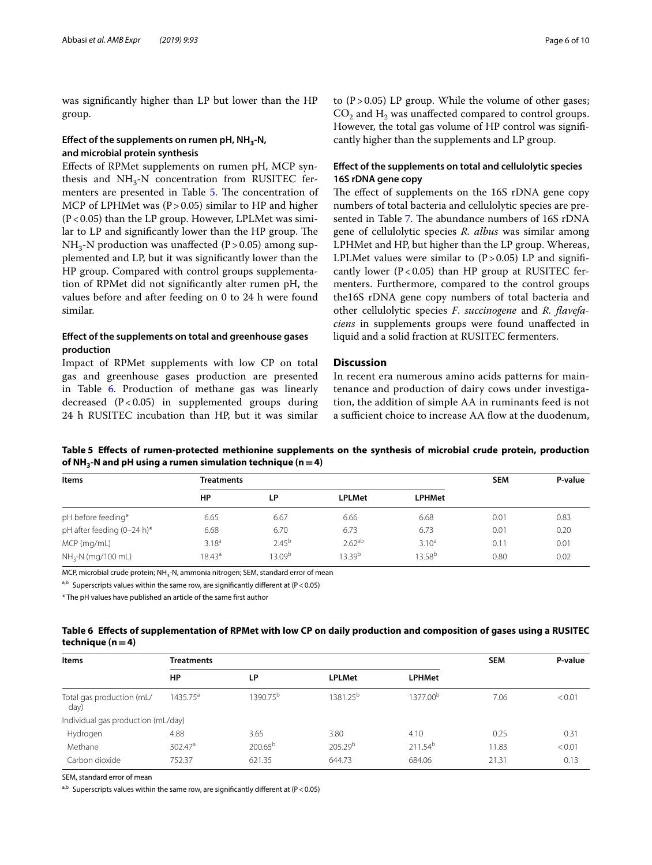was signifcantly higher than LP but lower than the HP group.

# **Efect of the supplements on rumen pH, NH3-N, and microbial protein synthesis**

Efects of RPMet supplements on rumen pH, MCP synthesis and  $NH<sub>3</sub>-N$  concentration from RUSITEC fer-menters are presented in Table [5.](#page-5-0) The concentration of MCP of LPHMet was  $(P > 0.05)$  similar to HP and higher  $(P<0.05)$  than the LP group. However, LPLMet was similar to LP and significantly lower than the HP group. The  $NH_{3}$ -N production was unaffected (P > 0.05) among supplemented and LP, but it was signifcantly lower than the HP group. Compared with control groups supplementation of RPMet did not signifcantly alter rumen pH, the values before and after feeding on 0 to 24 h were found similar.

# **Efect of the supplements on total and greenhouse gases production**

Impact of RPMet supplements with low CP on total gas and greenhouse gases production are presented in Table [6.](#page-5-1) Production of methane gas was linearly decreased  $(P<0.05)$  in supplemented groups during 24 h RUSITEC incubation than HP, but it was similar to  $(P > 0.05)$  LP group. While the volume of other gases;  $CO<sub>2</sub>$  and H<sub>2</sub> was unaffected compared to control groups. However, the total gas volume of HP control was signifcantly higher than the supplements and LP group.

# **Efect of the supplements on total and cellulolytic species 16S rDNA gene copy**

The effect of supplements on the 16S rDNA gene copy numbers of total bacteria and cellulolytic species are pre-sented in Table [7](#page-6-0). The abundance numbers of 16S rDNA gene of cellulolytic species *R. albus* was similar among LPHMet and HP, but higher than the LP group. Whereas, LPLMet values were similar to  $(P > 0.05)$  LP and significantly lower ( $P < 0.05$ ) than HP group at RUSITEC fermenters. Furthermore, compared to the control groups the16S rDNA gene copy numbers of total bacteria and other cellulolytic species *F*. *succinogene* and *R. favefaciens* in supplements groups were found unafected in liquid and a solid fraction at RUSITEC fermenters.

# **Discussion**

In recent era numerous amino acids patterns for maintenance and production of dairy cows under investigation, the addition of simple AA in ruminants feed is not a sufficient choice to increase AA flow at the duodenum,

# <span id="page-5-0"></span>**Table 5 Efects of rumen-protected methionine supplements on the synthesis of microbial crude protein, production**  of NH<sub>3</sub>-N and pH using a rumen simulation technique ( $n = 4$ )

| Items                      | <b>Treatments</b> |            |                    |                    | <b>SEM</b> | P-value |
|----------------------------|-------------------|------------|--------------------|--------------------|------------|---------|
|                            | HP                | <b>LP</b>  | <b>LPLMet</b>      | <b>LPHMet</b>      |            |         |
| pH before feeding*         | 6.65              | 6.67       | 6.66               | 6.68               | 0.01       | 0.83    |
| pH after feeding (0-24 h)* | 6.68              | 6.70       | 6.73               | 6.73               | 0.01       | 0.20    |
| MCP (mg/mL)                | $3.18^{a}$        | $2.45^{b}$ | $2.62^{ab}$        | $3.10^{a}$         | 0.11       | 0.01    |
| $NH_{3}$ -N (mg/100 mL)    | $18.43^{\circ}$   | 13.09b     | 13.39 <sup>b</sup> | 13.58 <sup>b</sup> | 0.80       | 0.02    |

MCP, microbial crude protein; NH<sub>3</sub>-N, ammonia nitrogen; SEM, standard error of mean

a,b Superscripts values within the same row, are significantly different at (P < 0.05)

\* The pH values have published an article of the same frst author

# <span id="page-5-1"></span>**Table 6 Efects of supplementation of RPMet with low CP on daily production and composition of gases using a RUSITEC**   $t$ echnique ( $n = 4$ )

| <b>Items</b>                       | <b>Treatments</b>   |                      | <b>SEM</b>           | P-value              |       |        |
|------------------------------------|---------------------|----------------------|----------------------|----------------------|-------|--------|
|                                    | HP                  | LP                   | <b>LPLMet</b>        | <b>LPHMet</b>        |       |        |
| Total gas production (mL/<br>day)  | $1435.75^{\circ}$   | 1390.75 <sup>b</sup> | 1381.25 <sup>b</sup> | 1377.00 <sup>b</sup> | 7.06  | < 0.01 |
| Individual gas production (mL/day) |                     |                      |                      |                      |       |        |
| Hydrogen                           | 4.88                | 3.65                 | 3.80                 | 4.10                 | 0.25  | 0.31   |
| Methane                            | 302.47 <sup>a</sup> | $200.65^{b}$         | 205.29 <sup>b</sup>  | 211.54 <sup>b</sup>  | 11.83 | < 0.01 |
| Carbon dioxide                     | 752.37              | 621.35               | 644.73               | 684.06               | 21.31 | 0.13   |

SEM, standard error of mean

 $a,b$  Superscripts values within the same row, are significantly different at (P < 0.05)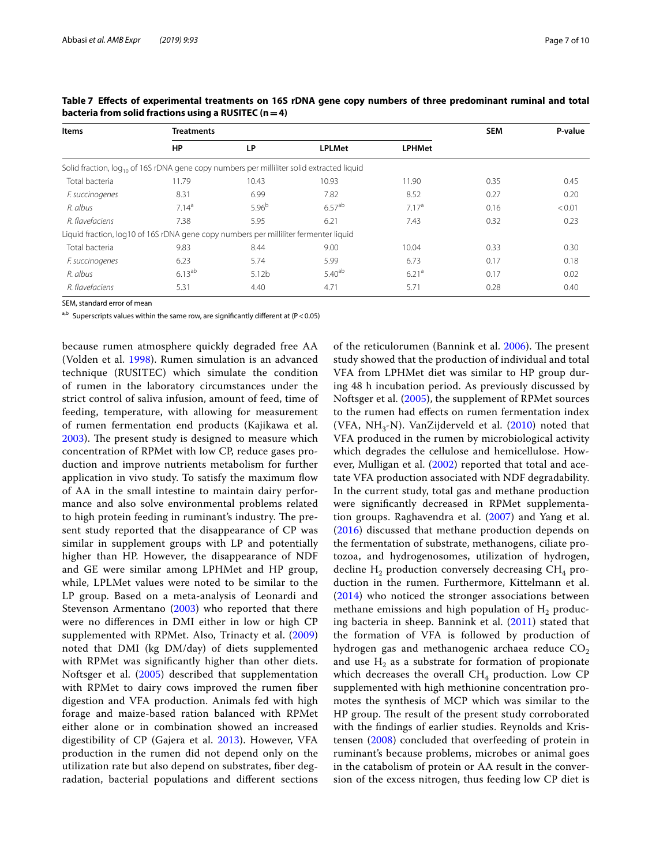| Items                                                                                                 | <b>Treatments</b> |            | <b>SEM</b>    | P-value           |      |        |
|-------------------------------------------------------------------------------------------------------|-------------------|------------|---------------|-------------------|------|--------|
|                                                                                                       | HP                | LP         | <b>LPLMet</b> | <b>LPHMet</b>     |      |        |
| Solid fraction, log <sub>10</sub> of 16S rDNA gene copy numbers per milliliter solid extracted liquid |                   |            |               |                   |      |        |
| Total bacteria                                                                                        | 11.79             | 10.43      | 10.93         | 11.90             | 0.35 | 0.45   |
| F. succinogenes                                                                                       | 8.31              | 6.99       | 7.82          | 8.52              | 0.27 | 0.20   |
| R. albus                                                                                              | 7.14 <sup>a</sup> | $5.96^{b}$ | $6.57^{ab}$   | 7.17 <sup>a</sup> | 0.16 | < 0.01 |
| R. flavefaciens                                                                                       | 7.38              | 5.95       | 6.21          | 7.43              | 0.32 | 0.23   |
| Liquid fraction, log10 of 16S rDNA gene copy numbers per milliliter fermenter liquid                  |                   |            |               |                   |      |        |
| Total bacteria                                                                                        | 9.83              | 8.44       | 9.00          | 10.04             | 0.33 | 0.30   |
| F. succinogenes                                                                                       | 6.23              | 5.74       | 5.99          | 6.73              | 0.17 | 0.18   |
| R. albus                                                                                              | $6.13^{ab}$       | 5.12b      | $5.40^{ab}$   | 6.21 <sup>a</sup> | 0.17 | 0.02   |
| R. flavefaciens                                                                                       | 5.31              | 4.40       | 4.71          | 5.71              | 0.28 | 0.40   |

<span id="page-6-0"></span>**Table 7 Efects of experimental treatments on 16S rDNA gene copy numbers of three predominant ruminal and total bacteria from solid fractions using a RUSITEC (n=4)**

SEM, standard error of mean

a,b Superscripts values within the same row, are significantly different at (P < 0.05)

because rumen atmosphere quickly degraded free AA (Volden et al. [1998\)](#page-9-11). Rumen simulation is an advanced technique (RUSITEC) which simulate the condition of rumen in the laboratory circumstances under the strict control of saliva infusion, amount of feed, time of feeding, temperature, with allowing for measurement of rumen fermentation end products (Kajikawa et al. [2003\)](#page-8-7). The present study is designed to measure which concentration of RPMet with low CP, reduce gases production and improve nutrients metabolism for further application in vivo study. To satisfy the maximum fow of AA in the small intestine to maintain dairy performance and also solve environmental problems related to high protein feeding in ruminant's industry. The present study reported that the disappearance of CP was similar in supplement groups with LP and potentially higher than HP. However, the disappearance of NDF and GE were similar among LPHMet and HP group, while, LPLMet values were noted to be similar to the LP group. Based on a meta-analysis of Leonardi and Stevenson Armentano ([2003\)](#page-8-14) who reported that there were no diferences in DMI either in low or high CP supplemented with RPMet. Also, Trinacty et al. [\(2009](#page-9-12)) noted that DMI (kg DM/day) of diets supplemented with RPMet was signifcantly higher than other diets. Noftsger et al. ([2005\)](#page-8-5) described that supplementation with RPMet to dairy cows improved the rumen fber digestion and VFA production. Animals fed with high forage and maize-based ration balanced with RPMet either alone or in combination showed an increased digestibility of CP (Gajera et al. [2013\)](#page-8-15). However, VFA production in the rumen did not depend only on the utilization rate but also depend on substrates, fber degradation, bacterial populations and diferent sections of the reticulorumen (Bannink et al. [2006](#page-8-16)). The present study showed that the production of individual and total VFA from LPHMet diet was similar to HP group during 48 h incubation period. As previously discussed by Noftsger et al. ([2005\)](#page-8-5), the supplement of RPMet sources to the rumen had efects on rumen fermentation index (VFA,  $NH_{3}-N$ ). VanZijderveld et al. [\(2010\)](#page-9-13) noted that VFA produced in the rumen by microbiological activity which degrades the cellulose and hemicellulose. However, Mulligan et al. ([2002\)](#page-8-17) reported that total and acetate VFA production associated with NDF degradability. In the current study, total gas and methane production were signifcantly decreased in RPMet supplementation groups. Raghavendra et al. ([2007\)](#page-8-18) and Yang et al. ([2016](#page-9-14)) discussed that methane production depends on the fermentation of substrate, methanogens, ciliate protozoa, and hydrogenosomes, utilization of hydrogen, decline  $H_2$  production conversely decreasing  $CH_4$  production in the rumen. Furthermore, Kittelmann et al. ([2014](#page-8-19)) who noticed the stronger associations between methane emissions and high population of  $H<sub>2</sub>$  producing bacteria in sheep. Bannink et al. ([2011\)](#page-8-20) stated that the formation of VFA is followed by production of hydrogen gas and methanogenic archaea reduce  $CO<sub>2</sub>$ and use  $H_2$  as a substrate for formation of propionate which decreases the overall  $CH<sub>4</sub>$  production. Low CP supplemented with high methionine concentration promotes the synthesis of MCP which was similar to the HP group. The result of the present study corroborated with the fndings of earlier studies. Reynolds and Kristensen ([2008\)](#page-8-21) concluded that overfeeding of protein in ruminant's because problems, microbes or animal goes in the catabolism of protein or AA result in the conversion of the excess nitrogen, thus feeding low CP diet is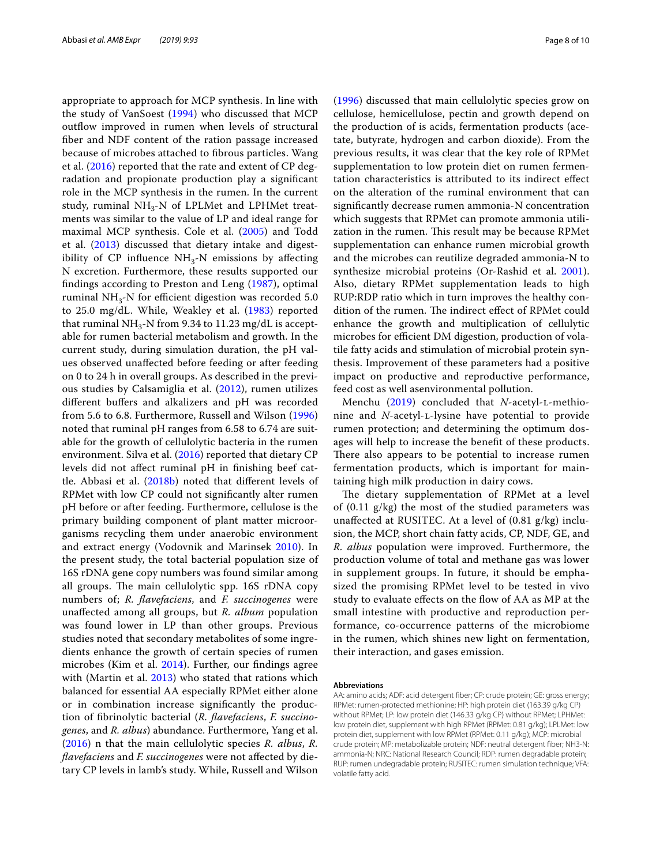appropriate to approach for MCP synthesis. In line with the study of VanSoest ([1994](#page-9-15)) who discussed that MCP outfow improved in rumen when levels of structural fber and NDF content of the ration passage increased because of microbes attached to fbrous particles. Wang et al. [\(2016](#page-9-16)) reported that the rate and extent of CP degradation and propionate production play a signifcant role in the MCP synthesis in the rumen. In the current study, ruminal  $NH<sub>3</sub>-N$  of LPLMet and LPHMet treatments was similar to the value of LP and ideal range for maximal MCP synthesis. Cole et al. [\(2005](#page-8-22)) and Todd et al. ([2013](#page-9-17)) discussed that dietary intake and digestibility of CP influence  $NH<sub>3</sub>$ -N emissions by affecting N excretion. Furthermore, these results supported our fndings according to Preston and Leng ([1987\)](#page-8-23), optimal ruminal NH<sub>3</sub>-N for efficient digestion was recorded 5.0 to 25.0 mg/dL. While, Weakley et al. ([1983\)](#page-9-18) reported that ruminal  $NH<sub>3</sub>$ -N from 9.34 to 11.23 mg/dL is acceptable for rumen bacterial metabolism and growth. In the current study, during simulation duration, the pH values observed unafected before feeding or after feeding on 0 to 24 h in overall groups. As described in the previous studies by Calsamiglia et al. [\(2012](#page-8-24)), rumen utilizes diferent bufers and alkalizers and pH was recorded from 5.6 to 6.8. Furthermore, Russell and Wilson [\(1996](#page-9-19)) noted that ruminal pH ranges from 6.58 to 6.74 are suitable for the growth of cellulolytic bacteria in the rumen environment. Silva et al. ([2016\)](#page-9-20) reported that dietary CP levels did not afect ruminal pH in fnishing beef cattle. Abbasi et al. ([2018b](#page-8-9)) noted that diferent levels of RPMet with low CP could not signifcantly alter rumen pH before or after feeding. Furthermore, cellulose is the primary building component of plant matter microorganisms recycling them under anaerobic environment and extract energy (Vodovnik and Marinsek [2010](#page-9-21)). In the present study, the total bacterial population size of 16S rDNA gene copy numbers was found similar among all groups. The main cellulolytic spp. 16S rDNA copy numbers of; *R. favefaciens*, and *F. succinogenes* were unafected among all groups, but *R. album* population was found lower in LP than other groups. Previous studies noted that secondary metabolites of some ingredients enhance the growth of certain species of rumen microbes (Kim et al. [2014\)](#page-8-25). Further, our fndings agree with (Martin et al. [2013\)](#page-8-26) who stated that rations which balanced for essential AA especially RPMet either alone or in combination increase signifcantly the production of fbrinolytic bacterial (*R. favefaciens*, *F. succinogenes*, and *R. albus*) abundance. Furthermore, Yang et al. ([2016](#page-9-14)) n that the main cellulolytic species *R. albus*, *R. favefaciens* and *F. succinogenes* were not afected by dietary CP levels in lamb's study. While, Russell and Wilson

([1996](#page-9-19)) discussed that main cellulolytic species grow on cellulose, hemicellulose, pectin and growth depend on the production of is acids, fermentation products (acetate, butyrate, hydrogen and carbon dioxide). From the previous results, it was clear that the key role of RPMet supplementation to low protein diet on rumen fermentation characteristics is attributed to its indirect efect on the alteration of the ruminal environment that can signifcantly decrease rumen ammonia-N concentration which suggests that RPMet can promote ammonia utilization in the rumen. This result may be because RPMet supplementation can enhance rumen microbial growth and the microbes can reutilize degraded ammonia-N to synthesize microbial proteins (Or-Rashid et al. [2001](#page-8-27)). Also, dietary RPMet supplementation leads to high RUP:RDP ratio which in turn improves the healthy condition of the rumen. The indirect effect of RPMet could enhance the growth and multiplication of cellulytic microbes for efficient DM digestion, production of volatile fatty acids and stimulation of microbial protein synthesis. Improvement of these parameters had a positive impact on productive and reproductive performance, feed cost as well asenvironmental pollution.

Menchu [\(2019\)](#page-8-28) concluded that *N*-acetyl-L-methionine and *N*-acetyl-L-lysine have potential to provide rumen protection; and determining the optimum dosages will help to increase the beneft of these products. There also appears to be potential to increase rumen fermentation products, which is important for maintaining high milk production in dairy cows.

The dietary supplementation of RPMet at a level of  $(0.11 \text{ g/kg})$  the most of the studied parameters was unafected at RUSITEC. At a level of (0.81 g/kg) inclusion, the MCP, short chain fatty acids, CP, NDF, GE, and *R. albus* population were improved. Furthermore, the production volume of total and methane gas was lower in supplement groups. In future, it should be emphasized the promising RPMet level to be tested in vivo study to evaluate efects on the fow of AA as MP at the small intestine with productive and reproduction performance, co-occurrence patterns of the microbiome in the rumen, which shines new light on fermentation, their interaction, and gases emission.

#### **Abbreviations**

AA: amino acids; ADF: acid detergent fber; CP: crude protein; GE: gross energy; RPMet: rumen-protected methionine; HP: high protein diet (163.39 g/kg CP) without RPMet; LP: low protein diet (146.33 g/kg CP) without RPMet; LPHMet: low protein diet, supplement with high RPMet (RPMet: 0.81 g/kg); LPLMet: low protein diet, supplement with low RPMet (RPMet: 0.11 g/kg); MCP: microbial crude protein; MP: metabolizable protein; NDF: neutral detergent fber; NH3-N: ammonia-N; NRC: National Research Council; RDP: rumen degradable protein; RUP: rumen undegradable protein; RUSITEC: rumen simulation technique; VFA: volatile fatty acid.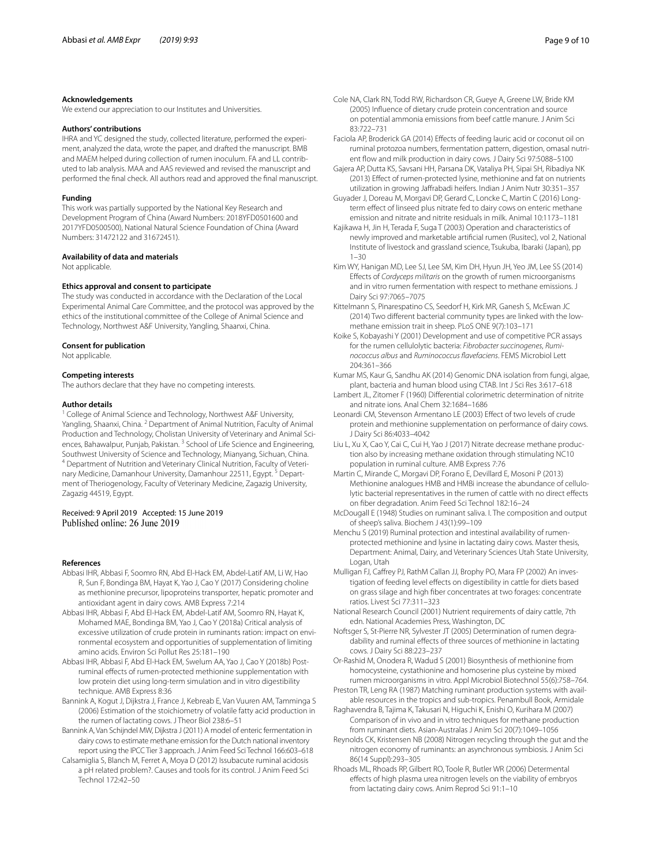#### **Acknowledgements**

We extend our appreciation to our Institutes and Universities.

#### **Authors' contributions**

IHRA and YC designed the study, collected literature, performed the experiment, analyzed the data, wrote the paper, and drafted the manuscript. BMB and MAEM helped during collection of rumen inoculum. FA and LL contributed to lab analysis. MAA and AAS reviewed and revised the manuscript and performed the fnal check. All authors read and approved the fnal manuscript.

#### **Funding**

This work was partially supported by the National Key Research and Development Program of China (Award Numbers: 2018YFD0501600 and 2017YFD0500500), National Natural Science Foundation of China (Award Numbers: 31472122 and 31672451).

#### **Availability of data and materials**

Not applicable.

#### **Ethics approval and consent to participate**

The study was conducted in accordance with the Declaration of the Local Experimental Animal Care Committee, and the protocol was approved by the ethics of the institutional committee of the College of Animal Science and Technology, Northwest A&F University, Yangling, Shaanxi, China.

#### **Consent for publication**

Not applicable.

#### **Competing interests**

The authors declare that they have no competing interests.

#### **Author details**

<sup>1</sup> College of Animal Science and Technology, Northwest A&F University, Yangling, Shaanxi, China. 2 Department of Animal Nutrition, Faculty of Animal Production and Technology, Cholistan University of Veterinary and Animal Sciences, Bahawalpur, Punjab, Pakistan. <sup>3</sup> School of Life Science and Engineering, Southwest University of Science and Technology, Mianyang, Sichuan, China. <sup>4</sup> Department of Nutrition and Veterinary Clinical Nutrition, Faculty of Veterinary Medicine, Damanhour University, Damanhour 22511, Egypt.<sup>5</sup> Department of Theriogenology, Faculty of Veterinary Medicine, Zagazig University, Zagazig 44519, Egypt.

# Received: 9 April 2019 Accepted: 15 June 2019

#### **References**

- <span id="page-8-4"></span>Abbasi IHR, Abbasi F, Soomro RN, Abd El-Hack EM, Abdel-Latif AM, Li W, Hao R, Sun F, Bondinga BM, Hayat K, Yao J, Cao Y (2017) Considering choline as methionine precursor, lipoproteins transporter, hepatic promoter and antioxidant agent in dairy cows. AMB Express 7:214
- <span id="page-8-2"></span>Abbasi IHR, Abbasi F, Abd El-Hack EM, Abdel-Latif AM, Soomro RN, Hayat K, Mohamed MAE, Bondinga BM, Yao J, Cao Y (2018a) Critical analysis of excessive utilization of crude protein in ruminants ration: impact on environmental ecosystem and opportunities of supplementation of limiting amino acids. Environ Sci Pollut Res 25:181–190
- <span id="page-8-9"></span>Abbasi IHR, Abbasi F, Abd El-Hack EM, Swelum AA, Yao J, Cao Y (2018b) Postruminal efects of rumen-protected methionine supplementation with low protein diet using long-term simulation and in vitro digestibility technique. AMB Express 8:36
- <span id="page-8-16"></span>Bannink A, Kogut J, Dijkstra J, France J, Kebreab E, Van Vuuren AM, Tamminga S (2006) Estimation of the stoichiometry of volatile fatty acid production in the rumen of lactating cows. J Theor Biol 238:6–51
- <span id="page-8-20"></span>Bannink A, Van Schijndel MW, Dijkstra J (2011) A model of enteric fermentation in dairy cows to estimate methane emission for the Dutch national inventory report using the IPCC Tier 3 approach. J Anim Feed Sci Technol 166:603–618
- <span id="page-8-24"></span>Calsamiglia S, Blanch M, Ferret A, Moya D (2012) Issubacute ruminal acidosis a pH related problem?. Causes and tools for its control. J Anim Feed Sci Technol 172:42–50
- <span id="page-8-22"></span>Cole NA, Clark RN, Todd RW, Richardson CR, Gueye A, Greene LW, Bride KM (2005) Infuence of dietary crude protein concentration and source on potential ammonia emissions from beef cattle manure. J Anim Sci 83:722–731
- <span id="page-8-1"></span>Faciola AP, Broderick GA (2014) Efects of feeding lauric acid or coconut oil on ruminal protozoa numbers, fermentation pattern, digestion, omasal nutrient flow and milk production in dairy cows. J Dairy Sci 97:5088-5100
- <span id="page-8-15"></span>Gajera AP, Dutta KS, Savsani HH, Parsana DK, Vataliya PH, Sipai SH, Ribadiya NK (2013) Efect of rumen-protected lysine, methionine and fat on nutrients utilization in growing Jafrabadi heifers. Indian J Anim Nutr 30:351–357
- <span id="page-8-6"></span>Guyader J, Doreau M, Morgavi DP, Gerard C, Loncke C, Martin C (2016) Longterm effect of linseed plus nitrate fed to dairy cows on enteric methane emission and nitrate and nitrite residuals in milk. Animal 10:1173–1181
- <span id="page-8-7"></span>Kajikawa H, Jin H, Terada F, Suga T (2003) Operation and characteristics of newly improved and marketable artifcial rumen (Rusitec), vol 2, National Institute of livestock and grassland science, Tsukuba, Ibaraki (Japan), pp  $1 - 30$
- <span id="page-8-25"></span>Kim WY, Hanigan MD, Lee SJ, Lee SM, Kim DH, Hyun JH, Yeo JM, Lee SS (2014) Efects of *Cordyceps militaris* on the growth of rumen microorganisms and in vitro rumen fermentation with respect to methane emissions. J Dairy Sci 97:7065–7075
- <span id="page-8-19"></span>Kittelmann S, Pinarespatino CS, Seedorf H, Kirk MR, Ganesh S, McEwan JC (2014) Two diferent bacterial community types are linked with the lowmethane emission trait in sheep. PLoS ONE 9(7):103–171
- <span id="page-8-12"></span>Koike S, Kobayashi Y (2001) Development and use of competitive PCR assays for the rumen cellulolytic bacteria: *Fibrobacter succinogenes*, *Ruminococcus albus* and *Ruminococcus favefaciens*. FEMS Microbiol Lett 204:361–366
- <span id="page-8-11"></span>Kumar MS, Kaur G, Sandhu AK (2014) Genomic DNA isolation from fungi, algae, plant, bacteria and human blood using CTAB. Int J Sci Res 3:617–618
- <span id="page-8-10"></span>Lambert JL, Zitomer F (1960) Diferential colorimetric determination of nitrite and nitrate ions. Anal Chem 32:1684–1686
- <span id="page-8-14"></span>Leonardi CM, Stevenson Armentano LE (2003) Efect of two levels of crude protein and methionine supplementation on performance of dairy cows. J Dairy Sci 86:4033–4042
- <span id="page-8-13"></span>Liu L, Xu X, Cao Y, Cai C, Cui H, Yao J (2017) Nitrate decrease methane production also by increasing methane oxidation through stimulating NC10 population in ruminal culture. AMB Express 7:76
- <span id="page-8-26"></span>Martin C, Mirande C, Morgavi DP, Forano E, Devillard E, Mosoni P (2013) Methionine analogues HMB and HMBi increase the abundance of cellulolytic bacterial representatives in the rumen of cattle with no direct efects on fber degradation. Anim Feed Sci Technol 182:16–24
- <span id="page-8-8"></span>McDougall E (1948) Studies on ruminant saliva. I. The composition and output of sheep's saliva. Biochem J 43(1):99–109
- <span id="page-8-28"></span>Menchu S (2019) Ruminal protection and intestinal availability of rumenprotected methionine and lysine in lactating dairy cows. Master thesis, Department: Animal, Dairy, and Veterinary Sciences Utah State University, Logan, Utah
- <span id="page-8-17"></span>Mulligan FJ, Caffrey PJ, RathM Callan JJ, Brophy PO, Mara FP (2002) An investigation of feeding level efects on digestibility in cattle for diets based on grass silage and high fber concentrates at two forages: concentrate ratios. Livest Sci 77:311–323
- <span id="page-8-0"></span>National Research Council (2001) Nutrient requirements of dairy cattle, 7th edn. National Academies Press, Washington, DC
- <span id="page-8-5"></span>Noftsger S, St-Pierre NR, Sylvester JT (2005) Determination of rumen degradability and ruminal efects of three sources of methionine in lactating cows. J Dairy Sci 88:223–237

<span id="page-8-27"></span>Or-Rashid M, Onodera R, Wadud S (2001) Biosynthesis of methionine from homocysteine, cystathionine and homoserine plus cysteine by mixed rumen microorganisms in vitro. Appl Microbiol Biotechnol 55(6):758–764.

- <span id="page-8-23"></span>Preston TR, Leng RA (1987) Matching ruminant production systems with available resources in the tropics and sub-tropics. Penambull Book, Armidale
- <span id="page-8-18"></span>Raghavendra B, Tajima K, Takusari N, Higuchi K, Enishi O, Kurihara M (2007) Comparison of in vivo and in vitro techniques for methane production from ruminant diets. Asian-Australas J Anim Sci 20(7):1049–1056
- <span id="page-8-21"></span>Reynolds CK, Kristensen NB (2008) Nitrogen recycling through the gut and the nitrogen economy of ruminants: an asynchronous symbiosis. J Anim Sci 86(14 Suppl):293–305
- <span id="page-8-3"></span>Rhoads ML, Rhoads RP, Gilbert RO, Toole R, Butler WR (2006) Determental efects of high plasma urea nitrogen levels on the viability of embryos from lactating dairy cows. Anim Reprod Sci 91:1–10